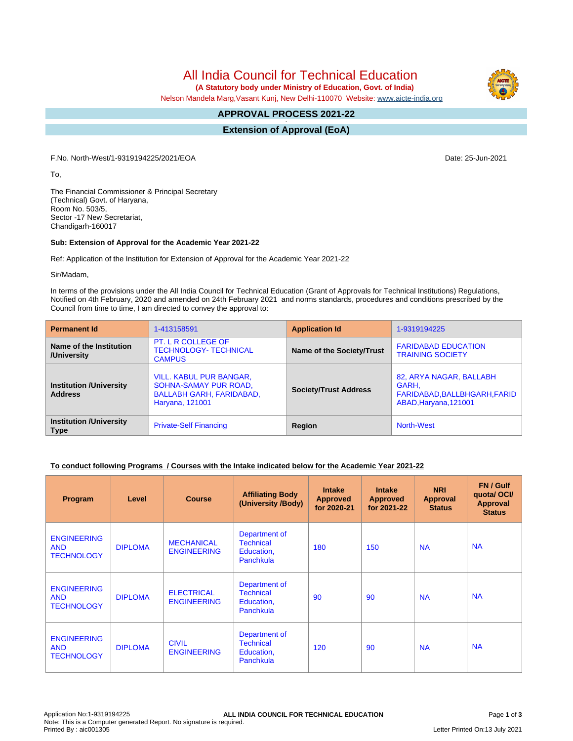All India Council for Technical Education

 **(A Statutory body under Ministry of Education, Govt. of India)**

Nelson Mandela Marg,Vasant Kunj, New Delhi-110070 Website: www.aicte-india.org

#### **APPROVAL PROCESS 2021-22 -**

**Extension of Approval (EoA)**

F.No. North-West/1-9319194225/2021/EOA Date: 25-Jun-2021

To,

The Financial Commissioner & Principal Secretary (Technical) Govt. of Haryana, Room No. 503/5, Sector -17 New Secretariat, Chandigarh-160017

### **Sub: Extension of Approval for the Academic Year 2021-22**

Ref: Application of the Institution for Extension of Approval for the Academic Year 2021-22

Sir/Madam,

In terms of the provisions under the All India Council for Technical Education (Grant of Approvals for Technical Institutions) Regulations, Notified on 4th February, 2020 and amended on 24th February 2021 and norms standards, procedures and conditions prescribed by the Council from time to time, I am directed to convey the approval to:

| <b>Permanent Id</b>                              | 1-413158591                                                                                                   | <b>Application Id</b>        | 1-9319194225                                                                              |  |
|--------------------------------------------------|---------------------------------------------------------------------------------------------------------------|------------------------------|-------------------------------------------------------------------------------------------|--|
| Name of the Institution<br>/University           | PT. L R COLLEGE OF<br><b>TECHNOLOGY- TECHNICAL</b><br><b>CAMPUS</b>                                           | Name of the Society/Trust    | <b>FARIDABAD EDUCATION</b><br><b>TRAINING SOCIETY</b>                                     |  |
| <b>Institution /University</b><br><b>Address</b> | <b>VILL. KABUL PUR BANGAR,</b><br>SOHNA-SAMAY PUR ROAD,<br><b>BALLABH GARH, FARIDABAD,</b><br>Haryana, 121001 | <b>Society/Trust Address</b> | 82, ARYA NAGAR, BALLABH<br>GARH.<br>FARIDABAD, BALLBHGARH, FARID<br>ABAD, Haryana, 121001 |  |
| <b>Institution /University</b><br><b>Type</b>    | <b>Private-Self Financing</b>                                                                                 | Region                       | <b>North-West</b>                                                                         |  |

### **To conduct following Programs / Courses with the Intake indicated below for the Academic Year 2021-22**

| Program                                               | Level          | <b>Course</b>                           | <b>Affiliating Body</b><br>(University /Body)                | <b>Intake</b><br><b>Approved</b><br>for 2020-21 | <b>Intake</b><br><b>Approved</b><br>for 2021-22 | <b>NRI</b><br>Approval<br><b>Status</b> | FN / Gulf<br>quotal OCI/<br><b>Approval</b><br><b>Status</b> |
|-------------------------------------------------------|----------------|-----------------------------------------|--------------------------------------------------------------|-------------------------------------------------|-------------------------------------------------|-----------------------------------------|--------------------------------------------------------------|
| <b>ENGINEERING</b><br><b>AND</b><br><b>TECHNOLOGY</b> | <b>DIPLOMA</b> | <b>MECHANICAL</b><br><b>ENGINEERING</b> | Department of<br><b>Technical</b><br>Education,<br>Panchkula | 180                                             | 150                                             | <b>NA</b>                               | <b>NA</b>                                                    |
| <b>ENGINEERING</b><br><b>AND</b><br><b>TECHNOLOGY</b> | <b>DIPLOMA</b> | <b>ELECTRICAL</b><br><b>ENGINEERING</b> | Department of<br><b>Technical</b><br>Education,<br>Panchkula | 90                                              | 90                                              | <b>NA</b>                               | <b>NA</b>                                                    |
| <b>ENGINEERING</b><br><b>AND</b><br><b>TECHNOLOGY</b> | <b>DIPLOMA</b> | <b>CIVIL</b><br><b>ENGINEERING</b>      | Department of<br><b>Technical</b><br>Education,<br>Panchkula | 120                                             | 90                                              | <b>NA</b>                               | <b>NA</b>                                                    |

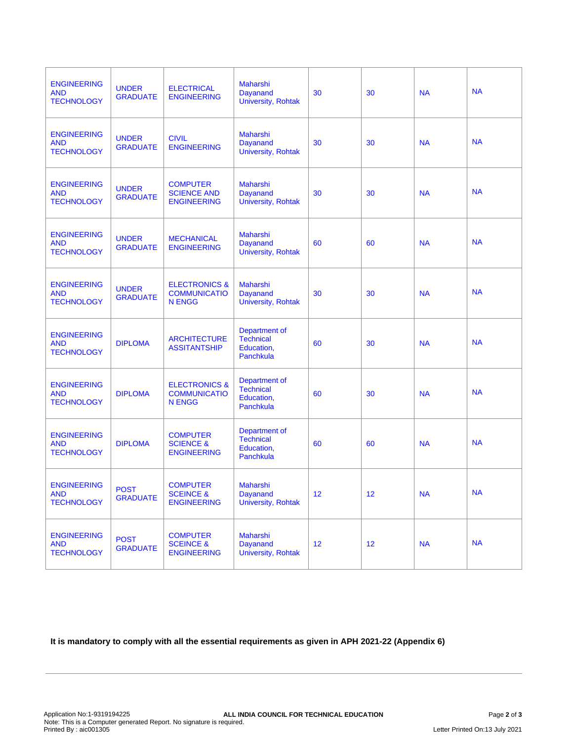| <b>ENGINEERING</b><br><b>AND</b><br><b>TECHNOLOGY</b> | <b>UNDER</b><br><b>GRADUATE</b> | <b>ELECTRICAL</b><br><b>ENGINEERING</b>                          | <b>Maharshi</b><br><b>Dayanand</b><br><b>University, Rohtak</b> | 30 | 30 | <b>NA</b> | <b>NA</b> |
|-------------------------------------------------------|---------------------------------|------------------------------------------------------------------|-----------------------------------------------------------------|----|----|-----------|-----------|
| <b>ENGINEERING</b><br><b>AND</b><br><b>TECHNOLOGY</b> | <b>UNDER</b><br><b>GRADUATE</b> | <b>CIVIL</b><br><b>ENGINEERING</b>                               | <b>Maharshi</b><br><b>Dayanand</b><br><b>University, Rohtak</b> | 30 | 30 | <b>NA</b> | <b>NA</b> |
| <b>ENGINEERING</b><br><b>AND</b><br><b>TECHNOLOGY</b> | <b>UNDER</b><br><b>GRADUATE</b> | <b>COMPUTER</b><br><b>SCIENCE AND</b><br><b>ENGINEERING</b>      | <b>Maharshi</b><br><b>Dayanand</b><br>University, Rohtak        | 30 | 30 | <b>NA</b> | <b>NA</b> |
| <b>ENGINEERING</b><br><b>AND</b><br><b>TECHNOLOGY</b> | <b>UNDER</b><br><b>GRADUATE</b> | <b>MECHANICAL</b><br><b>ENGINEERING</b>                          | <b>Maharshi</b><br><b>Dayanand</b><br><b>University, Rohtak</b> | 60 | 60 | <b>NA</b> | <b>NA</b> |
| <b>ENGINEERING</b><br><b>AND</b><br><b>TECHNOLOGY</b> | <b>UNDER</b><br><b>GRADUATE</b> | <b>ELECTRONICS &amp;</b><br><b>COMMUNICATIO</b><br><b>N ENGG</b> | <b>Maharshi</b><br><b>Dayanand</b><br><b>University, Rohtak</b> | 30 | 30 | <b>NA</b> | <b>NA</b> |
| <b>ENGINEERING</b><br><b>AND</b><br><b>TECHNOLOGY</b> | <b>DIPLOMA</b>                  | <b>ARCHITECTURE</b><br><b>ASSITANTSHIP</b>                       | Department of<br><b>Technical</b><br>Education,<br>Panchkula    | 60 | 30 | <b>NA</b> | <b>NA</b> |
| <b>ENGINEERING</b><br><b>AND</b><br><b>TECHNOLOGY</b> | <b>DIPLOMA</b>                  | <b>ELECTRONICS &amp;</b><br><b>COMMUNICATIO</b><br><b>N ENGG</b> | Department of<br><b>Technical</b><br>Education,<br>Panchkula    | 60 | 30 | <b>NA</b> | <b>NA</b> |
| <b>ENGINEERING</b><br><b>AND</b><br><b>TECHNOLOGY</b> | <b>DIPLOMA</b>                  | <b>COMPUTER</b><br><b>SCIENCE &amp;</b><br><b>ENGINEERING</b>    | Department of<br><b>Technical</b><br>Education,<br>Panchkula    | 60 | 60 | <b>NA</b> | <b>NA</b> |
| <b>ENGINEERING</b><br><b>AND</b><br><b>TECHNOLOGY</b> | <b>POST</b><br><b>GRADUATE</b>  | <b>COMPUTER</b><br><b>SCEINCE &amp;</b><br><b>ENGINEERING</b>    | Maharshi<br><b>Dayanand</b><br><b>University, Rohtak</b>        | 12 | 12 | <b>NA</b> | <b>NA</b> |
| <b>ENGINEERING</b><br><b>AND</b><br><b>TECHNOLOGY</b> | <b>POST</b><br><b>GRADUATE</b>  | <b>COMPUTER</b><br><b>SCEINCE &amp;</b><br><b>ENGINEERING</b>    | <b>Maharshi</b><br><b>Dayanand</b><br><b>University, Rohtak</b> | 12 | 12 | <b>NA</b> | <b>NA</b> |

**It is mandatory to comply with all the essential requirements as given in APH 2021-22 (Appendix 6)**